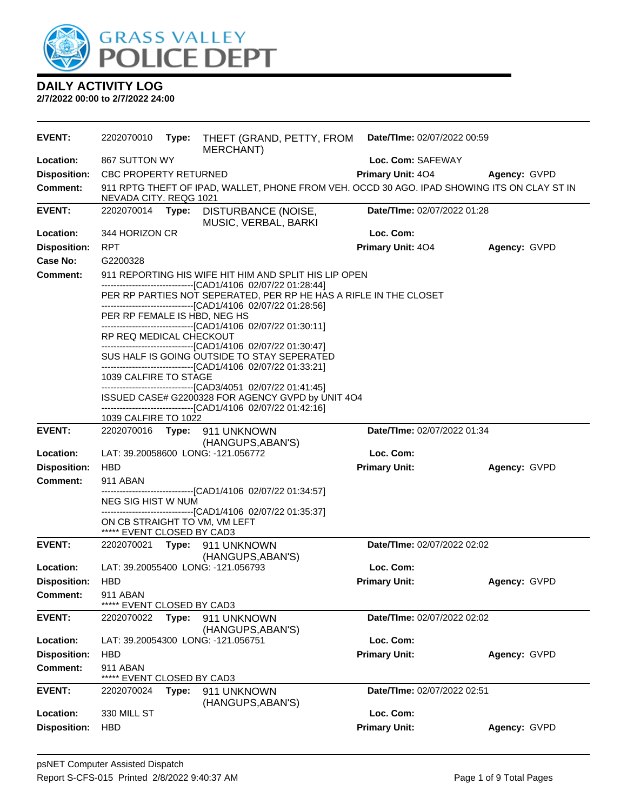

| <b>EVENT:</b>       | 2202070010                                                  | Type: | THEFT (GRAND, PETTY, FROM<br>MERCHANT)                                                                                                                                      | Date/TIme: 02/07/2022 00:59 |              |
|---------------------|-------------------------------------------------------------|-------|-----------------------------------------------------------------------------------------------------------------------------------------------------------------------------|-----------------------------|--------------|
| Location:           | 867 SUTTON WY                                               |       |                                                                                                                                                                             | Loc. Com: SAFEWAY           |              |
| <b>Disposition:</b> | CBC PROPERTY RETURNED                                       |       |                                                                                                                                                                             | Primary Unit: 404           | Agency: GVPD |
| <b>Comment:</b>     | NEVADA CITY. REQG 1021                                      |       | 911 RPTG THEFT OF IPAD, WALLET, PHONE FROM VEH. OCCD 30 AGO. IPAD SHOWING ITS ON CLAY ST IN                                                                                 |                             |              |
| <b>EVENT:</b>       | 2202070014                                                  | Type: | DISTURBANCE (NOISE,<br>MUSIC, VERBAL, BARKI                                                                                                                                 | Date/TIme: 02/07/2022 01:28 |              |
| Location:           | 344 HORIZON CR                                              |       |                                                                                                                                                                             | Loc. Com:                   |              |
| <b>Disposition:</b> | <b>RPT</b>                                                  |       |                                                                                                                                                                             | Primary Unit: 404           | Agency: GVPD |
| Case No:            | G2200328                                                    |       |                                                                                                                                                                             |                             |              |
| Comment:            |                                                             |       | 911 REPORTING HIS WIFE HIT HIM AND SPLIT HIS LIP OPEN<br>-------------------------------[CAD1/4106 02/07/22 01:28:44]                                                       |                             |              |
|                     |                                                             |       | PER RP PARTIES NOT SEPERATED, PER RP HE HAS A RIFLE IN THE CLOSET<br>-------------------------------[CAD1/4106 02/07/22 01:28:56]                                           |                             |              |
|                     | PER RP FEMALE IS HBD, NEG HS                                |       |                                                                                                                                                                             |                             |              |
|                     | RP REQ MEDICAL CHECKOUT                                     |       | --------------------------------[CAD1/4106 02/07/22 01:30:11]                                                                                                               |                             |              |
|                     |                                                             |       | -------------------------------[CAD1/4106 02/07/22 01:30:47]<br>SUS HALF IS GOING OUTSIDE TO STAY SEPERATED<br>-------------------------------[CAD1/4106 02/07/22 01:33:21] |                             |              |
|                     | 1039 CALFIRE TO STAGE                                       |       | ----------------------------------[CAD3/4051 02/07/22 01:41:45]                                                                                                             |                             |              |
|                     |                                                             |       | ISSUED CASE# G2200328 FOR AGENCY GVPD by UNIT 4O4<br>-------------------------------[CAD1/4106 02/07/22 01:42:16]                                                           |                             |              |
|                     | 1039 CALFIRE TO 1022                                        |       |                                                                                                                                                                             |                             |              |
| EVENT:              | 2202070016 Type: 911 UNKNOWN<br>Date/TIme: 02/07/2022 01:34 |       |                                                                                                                                                                             |                             |              |
| Location:           |                                                             |       | (HANGUPS, ABAN'S)<br>LAT: 39.20058600 LONG: -121.056772                                                                                                                     | Loc. Com:                   |              |
| <b>Disposition:</b> | <b>HBD</b>                                                  |       |                                                                                                                                                                             | <b>Primary Unit:</b>        | Agency: GVPD |
| <b>Comment:</b>     | 911 ABAN                                                    |       |                                                                                                                                                                             |                             |              |
|                     | NEG SIG HIST W NUM                                          |       | -------------------------------[CAD1/4106 02/07/22 01:34:57]                                                                                                                |                             |              |
|                     | ON CB STRAIGHT TO VM, VM LEFT<br>***** EVENT CLOSED BY CAD3 |       | -------------------------------[CAD1/4106 02/07/22 01:35:37]                                                                                                                |                             |              |
| <b>EVENT:</b>       | 2202070021                                                  |       | Type: 911 UNKNOWN                                                                                                                                                           | Date/TIme: 02/07/2022 02:02 |              |
|                     |                                                             |       | (HANGUPS, ABAN'S)                                                                                                                                                           |                             |              |
| Location:           |                                                             |       | LAT: 39.20055400 LONG: -121.056793                                                                                                                                          | Loc. Com:                   |              |
| <b>Disposition:</b> | HBD                                                         |       |                                                                                                                                                                             | <b>Primary Unit:</b>        | Agency: GVPD |
| <b>Comment:</b>     | 911 ABAN<br>EVENT CLOSED BY CAD3                            |       |                                                                                                                                                                             |                             |              |
| <b>EVENT:</b>       | 2202070022                                                  | Type: | 911 UNKNOWN<br>(HANGUPS, ABAN'S)                                                                                                                                            | Date/TIme: 02/07/2022 02:02 |              |
| Location:           |                                                             |       | LAT: 39.20054300 LONG: -121.056751                                                                                                                                          | Loc. Com:                   |              |
| <b>Disposition:</b> | <b>HBD</b>                                                  |       |                                                                                                                                                                             | <b>Primary Unit:</b>        | Agency: GVPD |
| <b>Comment:</b>     | 911 ABAN                                                    |       |                                                                                                                                                                             |                             |              |
|                     | *****<br>EVENT CLOSED BY CAD3                               |       |                                                                                                                                                                             |                             |              |
| <b>EVENT:</b>       | 2202070024                                                  | Type: | 911 UNKNOWN<br>(HANGUPS, ABAN'S)                                                                                                                                            | Date/TIme: 02/07/2022 02:51 |              |
| Location:           | 330 MILL ST                                                 |       |                                                                                                                                                                             | Loc. Com:                   |              |
| <b>Disposition:</b> | <b>HBD</b>                                                  |       |                                                                                                                                                                             | <b>Primary Unit:</b>        | Agency: GVPD |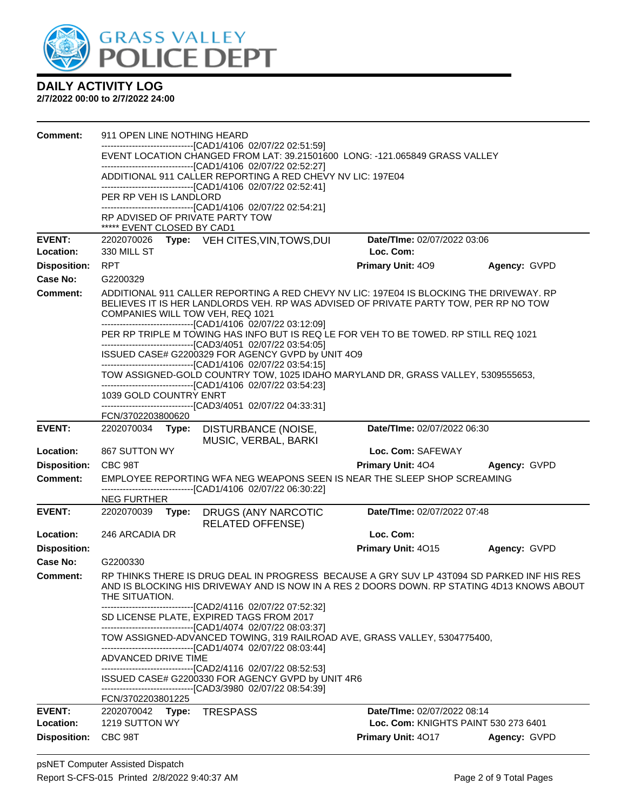

| <b>Comment:</b>     | 911 OPEN LINE NOTHING HEARD                                                                                                                                               |                                                                                                                                                                                          |              |
|---------------------|---------------------------------------------------------------------------------------------------------------------------------------------------------------------------|------------------------------------------------------------------------------------------------------------------------------------------------------------------------------------------|--------------|
|                     | --------------------------[CAD1/4106_02/07/22 02:51:59]                                                                                                                   | EVENT LOCATION CHANGED FROM LAT: 39.21501600 LONG: -121.065849 GRASS VALLEY                                                                                                              |              |
|                     | -------------------------------[CAD1/4106 02/07/22 02:52:27]                                                                                                              |                                                                                                                                                                                          |              |
|                     | ADDITIONAL 911 CALLER REPORTING A RED CHEVY NV LIC: 197E04<br>-------------------------------[CAD1/4106 02/07/22 02:52:41]                                                |                                                                                                                                                                                          |              |
|                     | PER RP VEH IS LANDLORD                                                                                                                                                    |                                                                                                                                                                                          |              |
|                     | -------------------------------[CAD1/4106 02/07/22 02:54:21]                                                                                                              |                                                                                                                                                                                          |              |
|                     | RP ADVISED OF PRIVATE PARTY TOW<br>***** EVENT CLOSED BY CAD1                                                                                                             |                                                                                                                                                                                          |              |
| <b>EVENT:</b>       | 2202070026 Type: VEH CITES, VIN, TOWS, DUI                                                                                                                                | Date/TIme: 02/07/2022 03:06                                                                                                                                                              |              |
| Location:           | 330 MILL ST                                                                                                                                                               | Loc. Com:                                                                                                                                                                                |              |
| <b>Disposition:</b> | <b>RPT</b>                                                                                                                                                                | Primary Unit: 409                                                                                                                                                                        | Agency: GVPD |
| Case No:            | G2200329                                                                                                                                                                  |                                                                                                                                                                                          |              |
| Comment:            | COMPANIES WILL TOW VEH, REQ 1021                                                                                                                                          | ADDITIONAL 911 CALLER REPORTING A RED CHEVY NV LIC: 197E04 IS BLOCKING THE DRIVEWAY. RP<br>BELIEVES IT IS HER LANDLORDS VEH. RP WAS ADVISED OF PRIVATE PARTY TOW, PER RP NO TOW          |              |
|                     | --------------------------------[CAD1/4106 02/07/22 03:12:09]<br>------------------------------[CAD3/4051 02/07/22 03:54:05]                                              | PER RP TRIPLE M TOWING HAS INFO BUT IS REQ LE FOR VEH TO BE TOWED. RP STILL REQ 1021                                                                                                     |              |
|                     | ISSUED CASE# G2200329 FOR AGENCY GVPD by UNIT 4O9                                                                                                                         |                                                                                                                                                                                          |              |
|                     | -------------------------------[CAD1/4106 02/07/22 03:54:15]                                                                                                              | TOW ASSIGNED-GOLD COUNTRY TOW, 1025 IDAHO MARYLAND DR, GRASS VALLEY, 5309555653,                                                                                                         |              |
|                     | -------------------------------[CAD1/4106 02/07/22 03:54:23]                                                                                                              |                                                                                                                                                                                          |              |
|                     | 1039 GOLD COUNTRY ENRT<br>-----------------------[CAD3/4051 02/07/22 04:33:31]                                                                                            |                                                                                                                                                                                          |              |
|                     | FCN/3702203800620                                                                                                                                                         |                                                                                                                                                                                          |              |
| <b>EVENT:</b>       | 2202070034 Type:<br>DISTURBANCE (NOISE,                                                                                                                                   | Date/TIme: 02/07/2022 06:30                                                                                                                                                              |              |
| Location:           | MUSIC, VERBAL, BARKI<br>867 SUTTON WY                                                                                                                                     | Loc. Com: SAFEWAY                                                                                                                                                                        |              |
| <b>Disposition:</b> | CBC 98T                                                                                                                                                                   | <b>Primary Unit: 404</b>                                                                                                                                                                 | Agency: GVPD |
| <b>Comment:</b>     |                                                                                                                                                                           | EMPLOYEE REPORTING WFA NEG WEAPONS SEEN IS NEAR THE SLEEP SHOP SCREAMING                                                                                                                 |              |
|                     | --------------------------[CAD1/4106_02/07/22 06:30:22]                                                                                                                   |                                                                                                                                                                                          |              |
| <b>EVENT:</b>       | <b>NEG FURTHER</b>                                                                                                                                                        | Date/TIme: 02/07/2022 07:48                                                                                                                                                              |              |
|                     | 2202070039<br>Type:<br>DRUGS (ANY NARCOTIC<br><b>RELATED OFFENSE)</b>                                                                                                     |                                                                                                                                                                                          |              |
| Location:           | 246 ARCADIA DR                                                                                                                                                            | Loc. Com:                                                                                                                                                                                |              |
| <b>Disposition:</b> |                                                                                                                                                                           | Primary Unit: 4015                                                                                                                                                                       | Agency: GVPD |
| Case No:            | G2200330                                                                                                                                                                  |                                                                                                                                                                                          |              |
| Comment:            | THE SITUATION.                                                                                                                                                            | RP THINKS THERE IS DRUG DEAL IN PROGRESS BECAUSE A GRY SUV LP 43T094 SD PARKED INF HIS RES<br>AND IS BLOCKING HIS DRIVEWAY AND IS NOW IN A RES 2 DOORS DOWN. RP STATING 4D13 KNOWS ABOUT |              |
|                     | --------------------------------[CAD2/4116 02/07/22 07:52:32]<br>SD LICENSE PLATE, EXPIRED TAGS FROM 2017<br>-------------------------------[CAD1/4074 02/07/22 08:03:37] |                                                                                                                                                                                          |              |
|                     |                                                                                                                                                                           | TOW ASSIGNED-ADVANCED TOWING, 319 RAILROAD AVE, GRASS VALLEY, 5304775400,                                                                                                                |              |
|                     | -------------------------------[CAD1/4074 02/07/22 08:03:44]<br>ADVANCED DRIVE TIME<br>--------------------------------[CAD2/4116 02/07/22 08:52:53]                      |                                                                                                                                                                                          |              |
|                     | ISSUED CASE# G2200330 FOR AGENCY GVPD by UNIT 4R6                                                                                                                         |                                                                                                                                                                                          |              |
|                     | --------------------------------[CAD3/3980 02/07/22 08:54:39]<br>FCN/3702203801225                                                                                        |                                                                                                                                                                                          |              |
| <b>EVENT:</b>       | 2202070042 Type:<br><b>TRESPASS</b>                                                                                                                                       | Date/TIme: 02/07/2022 08:14                                                                                                                                                              |              |
| Location:           | 1219 SUTTON WY                                                                                                                                                            | Loc. Com: KNIGHTS PAINT 530 273 6401                                                                                                                                                     |              |
| <b>Disposition:</b> | CBC 98T                                                                                                                                                                   | Primary Unit: 4017                                                                                                                                                                       | Agency: GVPD |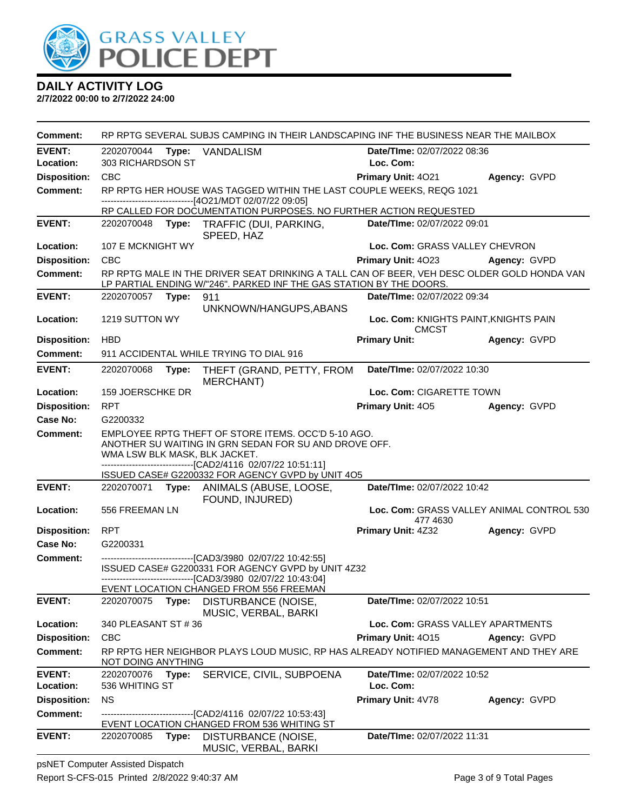

**2/7/2022 00:00 to 2/7/2022 24:00**

| Comment:            |                               | RP RPTG SEVERAL SUBJS CAMPING IN THEIR LANDSCAPING INF THE BUSINESS NEAR THE MAILBOX                                                                                                                                            |                                                       |              |
|---------------------|-------------------------------|---------------------------------------------------------------------------------------------------------------------------------------------------------------------------------------------------------------------------------|-------------------------------------------------------|--------------|
| <b>EVENT:</b>       | 2202070044<br>Type:           | VANDALISM                                                                                                                                                                                                                       | Date/TIme: 02/07/2022 08:36                           |              |
| Location:           | 303 RICHARDSON ST             |                                                                                                                                                                                                                                 | Loc. Com:                                             |              |
| <b>Disposition:</b> | <b>CBC</b>                    |                                                                                                                                                                                                                                 | Primary Unit: 4021                                    | Agency: GVPD |
| <b>Comment:</b>     |                               | RP RPTG HER HOUSE WAS TAGGED WITHIN THE LAST COUPLE WEEKS, REQG 1021<br>------------------------------[4O21/MDT 02/07/22 09:05]                                                                                                 |                                                       |              |
| <b>EVENT:</b>       |                               | RP CALLED FOR DOCUMENTATION PURPOSES. NO FURTHER ACTION REQUESTED                                                                                                                                                               | Date/TIme: 02/07/2022 09:01                           |              |
|                     |                               | 2202070048 Type: TRAFFIC (DUI, PARKING,<br>SPEED, HAZ                                                                                                                                                                           |                                                       |              |
| Location:           | 107 E MCKNIGHT WY             |                                                                                                                                                                                                                                 | Loc. Com: GRASS VALLEY CHEVRON                        |              |
| <b>Disposition:</b> | <b>CBC</b>                    |                                                                                                                                                                                                                                 | Primary Unit: 4023 Agency: GVPD                       |              |
| <b>Comment:</b>     |                               | RP RPTG MALE IN THE DRIVER SEAT DRINKING A TALL CAN OF BEER, VEH DESC OLDER GOLD HONDA VAN<br>LP PARTIAL ENDING W/"246". PARKED INF THE GAS STATION BY THE DOORS.                                                               |                                                       |              |
| <b>EVENT:</b>       | 2202070057<br>Type:           | 911                                                                                                                                                                                                                             | Date/TIme: 02/07/2022 09:34                           |              |
| Location:           | 1219 SUTTON WY                | UNKNOWN/HANGUPS, ABANS                                                                                                                                                                                                          | Loc. Com: KNIGHTS PAINT, KNIGHTS PAIN<br><b>CMCST</b> |              |
| <b>Disposition:</b> | <b>HBD</b>                    |                                                                                                                                                                                                                                 | <b>Primary Unit:</b>                                  | Agency: GVPD |
| <b>Comment:</b>     |                               | 911 ACCIDENTAL WHILE TRYING TO DIAL 916                                                                                                                                                                                         |                                                       |              |
| <b>EVENT:</b>       | 2202070068<br>Type:           | THEFT (GRAND, PETTY, FROM<br><b>MERCHANT)</b>                                                                                                                                                                                   | Date/TIme: 02/07/2022 10:30                           |              |
| Location:           | 159 JOERSCHKE DR              |                                                                                                                                                                                                                                 | Loc. Com: CIGARETTE TOWN                              |              |
| <b>Disposition:</b> | <b>RPT</b>                    |                                                                                                                                                                                                                                 | Primary Unit: 405                                     | Agency: GVPD |
| Case No:            | G2200332                      |                                                                                                                                                                                                                                 |                                                       |              |
| <b>Comment:</b>     | WMA LSW BLK MASK, BLK JACKET. | EMPLOYEE RPTG THEFT OF STORE ITEMS. OCC'D 5-10 AGO.<br>ANOTHER SU WAITING IN GRN SEDAN FOR SU AND DROVE OFF.<br>-------------------------------[CAD2/4116 02/07/22 10:51:11]                                                    |                                                       |              |
| <b>EVENT:</b>       |                               | ISSUED CASE# G2200332 FOR AGENCY GVPD by UNIT 4O5<br>2202070071 Type: ANIMALS (ABUSE, LOOSE,                                                                                                                                    | Date/TIme: 02/07/2022 10:42                           |              |
|                     |                               | FOUND, INJURED)                                                                                                                                                                                                                 |                                                       |              |
| Location:           | 556 FREEMAN LN                |                                                                                                                                                                                                                                 | Loc. Com: GRASS VALLEY ANIMAL CONTROL 530<br>477 4630 |              |
| <b>Disposition:</b> | <b>RPT</b>                    |                                                                                                                                                                                                                                 | <b>Primary Unit: 4Z32</b>                             | Agency: GVPD |
| Case No:            | G2200331                      |                                                                                                                                                                                                                                 |                                                       |              |
| <b>Comment:</b>     |                               | ---------------------------------[CAD3/3980 02/07/22 10:42:55]<br>ISSUED CASE# G2200331 FOR AGENCY GVPD by UNIT 4Z32<br>-------------------------------[CAD3/3980 02/07/22 10:43:04]<br>EVENT LOCATION CHANGED FROM 556 FREEMAN |                                                       |              |
| <b>EVENT:</b>       | 2202070075<br>Type:           | DISTURBANCE (NOISE,<br>MUSIC, VERBAL, BARKI                                                                                                                                                                                     | Date/TIme: 02/07/2022 10:51                           |              |
| Location:           | 340 PLEASANT ST # 36          |                                                                                                                                                                                                                                 | Loc. Com: GRASS VALLEY APARTMENTS                     |              |
| <b>Disposition:</b> | <b>CBC</b>                    |                                                                                                                                                                                                                                 | Primary Unit: 4015                                    | Agency: GVPD |
| <b>Comment:</b>     | NOT DOING ANYTHING            | RP RPTG HER NEIGHBOR PLAYS LOUD MUSIC, RP HAS ALREADY NOTIFIED MANAGEMENT AND THEY ARE                                                                                                                                          |                                                       |              |
| <b>EVENT:</b>       | 2202070076<br>Type:           | SERVICE, CIVIL, SUBPOENA                                                                                                                                                                                                        | Date/TIme: 02/07/2022 10:52                           |              |
| Location:           | 536 WHITING ST                |                                                                                                                                                                                                                                 | Loc. Com:                                             |              |
| <b>Disposition:</b> | <b>NS</b>                     |                                                                                                                                                                                                                                 | Primary Unit: 4V78                                    | Agency: GVPD |
| <b>Comment:</b>     |                               | -----------------------[CAD2/4116 02/07/22 10:53:43]<br>EVENT LOCATION CHANGED FROM 536 WHITING ST                                                                                                                              |                                                       |              |
| <b>EVENT:</b>       | 2202070085<br>Type:           | DISTURBANCE (NOISE,<br>MUSIC, VERBAL, BARKI                                                                                                                                                                                     | Date/TIme: 02/07/2022 11:31                           |              |

psNET Computer Assisted Dispatch Report S-CFS-015 Printed 2/8/2022 9:40:37 AM Page 3 of 9 Total Pages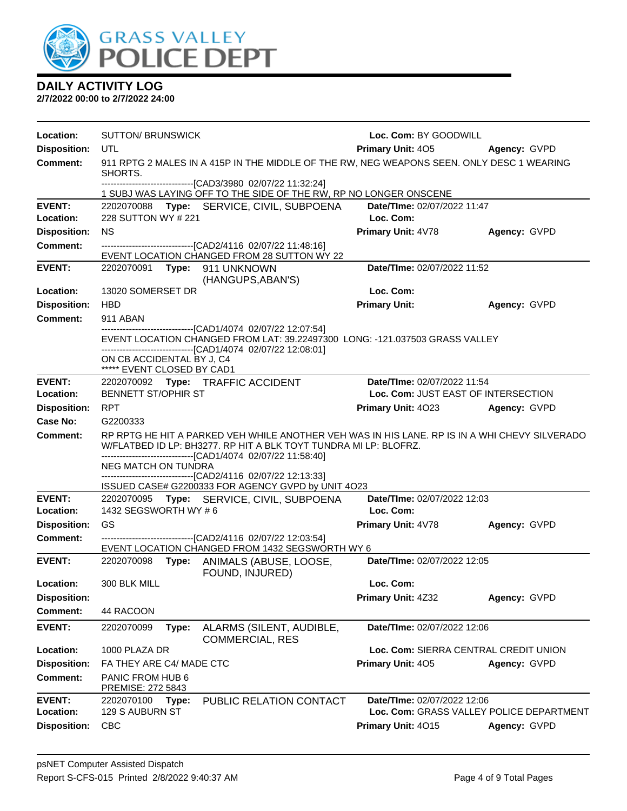

| Location:                  | <b>SUTTON/ BRUNSWICK</b>                                                                                                                                                                                                                                        | Loc. Com: BY GOODWILL                    |              |
|----------------------------|-----------------------------------------------------------------------------------------------------------------------------------------------------------------------------------------------------------------------------------------------------------------|------------------------------------------|--------------|
| <b>Disposition:</b>        | UTL                                                                                                                                                                                                                                                             | <b>Primary Unit: 405</b>                 | Agency: GVPD |
| <b>Comment:</b>            | 911 RPTG 2 MALES IN A 415P IN THE MIDDLE OF THE RW, NEG WEAPONS SEEN. ONLY DESC 1 WEARING<br>SHORTS.                                                                                                                                                            |                                          |              |
|                            | -------------------------------[CAD3/3980 02/07/22 11:32:24]<br>1 SUBJ WAS LAYING OFF TO THE SIDE OF THE RW, RP NO LONGER ONSCENE                                                                                                                               |                                          |              |
| <b>EVENT:</b><br>Location: | 2202070088 Type: SERVICE, CIVIL, SUBPOENA<br>228 SUTTON WY # 221                                                                                                                                                                                                | Date/TIme: 02/07/2022 11:47<br>Loc. Com: |              |
| <b>Disposition:</b>        | <b>NS</b>                                                                                                                                                                                                                                                       | Primary Unit: 4V78                       | Agency: GVPD |
| <b>Comment:</b>            | ---------------------------------[CAD2/4116 02/07/22 11:48:16]<br>EVENT LOCATION CHANGED FROM 28 SUTTON WY 22                                                                                                                                                   |                                          |              |
| <b>EVENT:</b>              | 2202070091    Type: 911    UNKNOWN<br>(HANGUPS, ABAN'S)                                                                                                                                                                                                         | Date/TIme: 02/07/2022 11:52              |              |
| Location:                  | 13020 SOMERSET DR                                                                                                                                                                                                                                               | Loc. Com:                                |              |
| <b>Disposition:</b>        | <b>HBD</b>                                                                                                                                                                                                                                                      | <b>Primary Unit:</b>                     | Agency: GVPD |
| <b>Comment:</b>            | 911 ABAN                                                                                                                                                                                                                                                        |                                          |              |
|                            | -------------------------------[CAD1/4074_02/07/22 12:07:54]<br>EVENT LOCATION CHANGED FROM LAT: 39.22497300 LONG: -121.037503 GRASS VALLEY<br>-------------------------------[CAD1/4074_02/07/22 12:08:01]<br>ON CB ACCIDENTAL BY J, C4                        |                                          |              |
| <b>EVENT:</b>              | ***** EVENT CLOSED BY CAD1<br>2202070092 Type: TRAFFIC ACCIDENT                                                                                                                                                                                                 | Date/TIme: 02/07/2022 11:54              |              |
| Location:                  | <b>BENNETT ST/OPHIR ST</b>                                                                                                                                                                                                                                      | Loc. Com: JUST EAST OF INTERSECTION      |              |
| <b>Disposition:</b>        | RPT                                                                                                                                                                                                                                                             | <b>Primary Unit: 4023</b>                | Agency: GVPD |
| Case No:                   | G2200333                                                                                                                                                                                                                                                        |                                          |              |
| Comment:                   | RP RPTG HE HIT A PARKED VEH WHILE ANOTHER VEH WAS IN HIS LANE. RP IS IN A WHI CHEVY SILVERADO<br>W/FLATBED ID LP: BH3277. RP HIT A BLK TOYT TUNDRA MI LP: BLOFRZ.<br>-------------------------------[CAD1/4074_02/07/22 11:58:40]<br><b>NEG MATCH ON TUNDRA</b> |                                          |              |
|                            | -------------------------------[CAD2/4116 02/07/22 12:13:33]                                                                                                                                                                                                    |                                          |              |
| <b>EVENT:</b>              | ISSUED CASE# G2200333 FOR AGENCY GVPD by UNIT 4O23<br>2202070095 Type: SERVICE, CIVIL, SUBPOENA                                                                                                                                                                 | Date/TIme: 02/07/2022 12:03              |              |
| Location:                  | 1432 SEGSWORTH WY #6                                                                                                                                                                                                                                            | Loc. Com:                                |              |
| <b>Disposition:</b>        | GS                                                                                                                                                                                                                                                              | Primary Unit: 4V78                       | Agency: GVPD |
| <b>Comment:</b>            | --------------------------[CAD2/4116 02/07/22 12:03:54]                                                                                                                                                                                                         |                                          |              |
|                            | EVENT LOCATION CHANGED FROM 1432 SEGSWORTH WY 6                                                                                                                                                                                                                 |                                          |              |
| <b>EVENT:</b>              | 2202070098 Type: ANIMALS (ABUSE, LOOSE,<br>FOUND, INJURED)                                                                                                                                                                                                      | Date/TIme: 02/07/2022 12:05              |              |
| Location:                  | 300 BLK MILL                                                                                                                                                                                                                                                    | Loc. Com:                                |              |
| <b>Disposition:</b>        |                                                                                                                                                                                                                                                                 | <b>Primary Unit: 4Z32</b>                | Agency: GVPD |
| <b>Comment:</b>            | 44 RACOON                                                                                                                                                                                                                                                       |                                          |              |
| <b>EVENT:</b>              | ALARMS (SILENT, AUDIBLE,<br>2202070099<br>Type:<br><b>COMMERCIAL, RES</b>                                                                                                                                                                                       | Date/TIme: 02/07/2022 12:06              |              |
| Location:                  | 1000 PLAZA DR                                                                                                                                                                                                                                                   | Loc. Com: SIERRA CENTRAL CREDIT UNION    |              |
| <b>Disposition:</b>        | FA THEY ARE C4/ MADE CTC                                                                                                                                                                                                                                        | Primary Unit: 405                        | Agency: GVPD |
| <b>Comment:</b>            | PANIC FROM HUB 6<br>PREMISE: 272 5843                                                                                                                                                                                                                           |                                          |              |
| <b>EVENT:</b>              | 2202070100<br>PUBLIC RELATION CONTACT<br>Type:                                                                                                                                                                                                                  | Date/TIme: 02/07/2022 12:06              |              |
| Location:                  | 129 S AUBURN ST                                                                                                                                                                                                                                                 | Loc. Com: GRASS VALLEY POLICE DEPARTMENT |              |
| <b>Disposition:</b>        | <b>CBC</b>                                                                                                                                                                                                                                                      | Primary Unit: 4015                       | Agency: GVPD |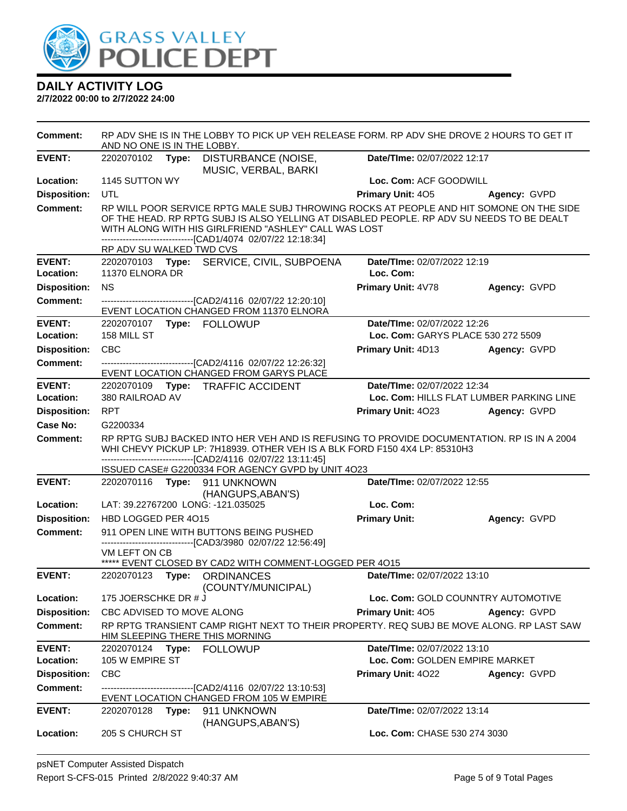

| <b>Comment:</b>     | RP ADV SHE IS IN THE LOBBY TO PICK UP VEH RELEASE FORM. RP ADV SHE DROVE 2 HOURS TO GET IT<br>AND NO ONE IS IN THE LOBBY. |       |                                                                                                                                                                                                                                                                                                               |                                    |                                          |
|---------------------|---------------------------------------------------------------------------------------------------------------------------|-------|---------------------------------------------------------------------------------------------------------------------------------------------------------------------------------------------------------------------------------------------------------------------------------------------------------------|------------------------------------|------------------------------------------|
| <b>EVENT:</b>       |                                                                                                                           |       | 2202070102 Type: DISTURBANCE (NOISE,<br>MUSIC, VERBAL, BARKI                                                                                                                                                                                                                                                  | Date/TIme: 02/07/2022 12:17        |                                          |
| Location:           | 1145 SUTTON WY                                                                                                            |       |                                                                                                                                                                                                                                                                                                               | Loc. Com: ACF GOODWILL             |                                          |
| <b>Disposition:</b> | UTL                                                                                                                       |       |                                                                                                                                                                                                                                                                                                               | <b>Primary Unit: 405</b>           | Agency: GVPD                             |
| <b>Comment:</b>     | RP ADV SU WALKED TWD CVS                                                                                                  |       | RP WILL POOR SERVICE RPTG MALE SUBJ THROWING ROCKS AT PEOPLE AND HIT SOMONE ON THE SIDE<br>OF THE HEAD. RP RPTG SUBJ IS ALSO YELLING AT DISABLED PEOPLE. RP ADV SU NEEDS TO BE DEALT<br>WITH ALONG WITH HIS GIRLFRIEND "ASHLEY" CALL WAS LOST<br>-------------------------------[CAD1/4074 02/07/22 12:18:34] |                                    |                                          |
| <b>EVENT:</b>       |                                                                                                                           |       | 2202070103 Type: SERVICE, CIVIL, SUBPOENA                                                                                                                                                                                                                                                                     | Date/TIme: 02/07/2022 12:19        |                                          |
| Location:           | 11370 ELNORA DR                                                                                                           |       |                                                                                                                                                                                                                                                                                                               | Loc. Com:                          |                                          |
| <b>Disposition:</b> | <b>NS</b>                                                                                                                 |       |                                                                                                                                                                                                                                                                                                               | Primary Unit: 4V78                 | Agency: GVPD                             |
| <b>Comment:</b>     |                                                                                                                           |       | --------------------------------[CAD2/4116 02/07/22 12:20:10]<br>EVENT LOCATION CHANGED FROM 11370 ELNORA                                                                                                                                                                                                     |                                    |                                          |
| <b>EVENT:</b>       |                                                                                                                           |       |                                                                                                                                                                                                                                                                                                               | Date/TIme: 02/07/2022 12:26        |                                          |
| Location:           | 158 MILL ST                                                                                                               |       |                                                                                                                                                                                                                                                                                                               | Loc. Com: GARYS PLACE 530 272 5509 |                                          |
| <b>Disposition:</b> | <b>CBC</b>                                                                                                                |       |                                                                                                                                                                                                                                                                                                               | <b>Primary Unit: 4D13</b>          | Agency: GVPD                             |
| <b>Comment:</b>     |                                                                                                                           |       | -------------------------------[CAD2/4116 02/07/22 12:26:32]<br>EVENT LOCATION CHANGED FROM GARYS PLACE                                                                                                                                                                                                       |                                    |                                          |
| <b>EVENT:</b>       |                                                                                                                           |       | 2202070109 Type: TRAFFIC ACCIDENT                                                                                                                                                                                                                                                                             | Date/TIme: 02/07/2022 12:34        |                                          |
| Location:           | 380 RAILROAD AV                                                                                                           |       |                                                                                                                                                                                                                                                                                                               |                                    | Loc. Com: HILLS FLAT LUMBER PARKING LINE |
| <b>Disposition:</b> | <b>RPT</b>                                                                                                                |       |                                                                                                                                                                                                                                                                                                               | <b>Primary Unit: 4023</b>          | Agency: GVPD                             |
| <b>Case No:</b>     | G2200334                                                                                                                  |       |                                                                                                                                                                                                                                                                                                               |                                    |                                          |
| <b>Comment:</b>     |                                                                                                                           |       | RP RPTG SUBJ BACKED INTO HER VEH AND IS REFUSING TO PROVIDE DOCUMENTATION. RP IS IN A 2004<br>WHI CHEVY PICKUP LP: 7H18939. OTHER VEH IS A BLK FORD F150 4X4 LP: 85310H3<br>-------------------------------[CAD2/4116 02/07/22 13:11:45]<br>ISSUED CASE# G2200334 FOR AGENCY GVPD by UNIT 4O23                |                                    |                                          |
| <b>EVENT:</b>       |                                                                                                                           |       | 2202070116 Type: 911 UNKNOWN<br>(HANGUPS, ABAN'S)                                                                                                                                                                                                                                                             | Date/TIme: 02/07/2022 12:55        |                                          |
| Location:           |                                                                                                                           |       | LAT: 39.22767200 LONG: -121.035025                                                                                                                                                                                                                                                                            | Loc. Com:                          |                                          |
| <b>Disposition:</b> | HBD LOGGED PER 4015                                                                                                       |       |                                                                                                                                                                                                                                                                                                               | <b>Primary Unit:</b>               | Agency: GVPD                             |
| <b>Comment:</b>     |                                                                                                                           |       | 911 OPEN LINE WITH BUTTONS BEING PUSHED                                                                                                                                                                                                                                                                       |                                    |                                          |
|                     | VM LEFT ON CB                                                                                                             |       | --------------------------------[CAD3/3980 02/07/22 12:56:49]                                                                                                                                                                                                                                                 |                                    |                                          |
|                     |                                                                                                                           |       | ***** EVENT CLOSED BY CAD2 WITH COMMENT-LOGGED PER 4015                                                                                                                                                                                                                                                       |                                    |                                          |
| <b>EVENT:</b>       |                                                                                                                           |       | 2202070123 Type: ORDINANCES<br>(COUNTY/MUNICIPAL)                                                                                                                                                                                                                                                             | Date/TIme: 02/07/2022 13:10        |                                          |
| Location:           | 175 JOERSCHKE DR # J                                                                                                      |       |                                                                                                                                                                                                                                                                                                               |                                    | Loc. Com: GOLD COUNNTRY AUTOMOTIVE       |
| <b>Disposition:</b> | CBC ADVISED TO MOVE ALONG                                                                                                 |       |                                                                                                                                                                                                                                                                                                               | <b>Primary Unit: 405</b>           | Agency: GVPD                             |
| <b>Comment:</b>     |                                                                                                                           |       | RP RPTG TRANSIENT CAMP RIGHT NEXT TO THEIR PROPERTY. REQ SUBJ BE MOVE ALONG. RP LAST SAW<br>HIM SLEEPING THERE THIS MORNING                                                                                                                                                                                   |                                    |                                          |
| <b>EVENT:</b>       |                                                                                                                           |       | 2202070124 Type: FOLLOWUP                                                                                                                                                                                                                                                                                     | Date/TIme: 02/07/2022 13:10        |                                          |
| Location:           | 105 W EMPIRE ST                                                                                                           |       |                                                                                                                                                                                                                                                                                                               | Loc. Com: GOLDEN EMPIRE MARKET     |                                          |
| <b>Disposition:</b> | <b>CBC</b>                                                                                                                |       |                                                                                                                                                                                                                                                                                                               | Primary Unit: 4022                 | Agency: GVPD                             |
| <b>Comment:</b>     | ---------------------------[CAD2/4116 02/07/22 13:10:53]<br>EVENT LOCATION CHANGED FROM 105 W EMPIRE                      |       |                                                                                                                                                                                                                                                                                                               |                                    |                                          |
| <b>EVENT:</b>       | 2202070128                                                                                                                | Type: | 911 UNKNOWN                                                                                                                                                                                                                                                                                                   | Date/TIme: 02/07/2022 13:14        |                                          |
| Location:           | 205 S CHURCH ST                                                                                                           |       | (HANGUPS, ABAN'S)                                                                                                                                                                                                                                                                                             | Loc. Com: CHASE 530 274 3030       |                                          |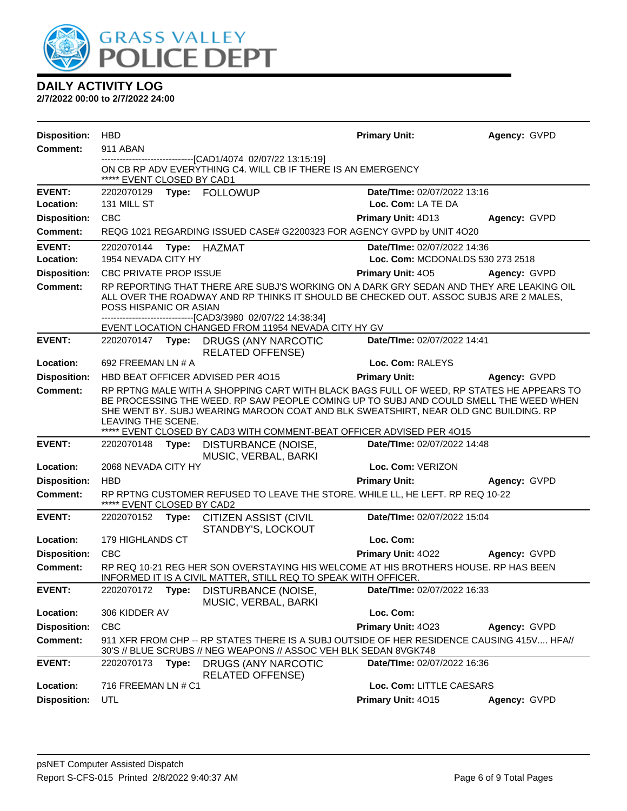

| <b>Disposition:</b>        | <b>HBD</b>                        |                                                                                                                                                                                                                                                                                                                                                   | <b>Primary Unit:</b>                                            | Agency: GVPD |
|----------------------------|-----------------------------------|---------------------------------------------------------------------------------------------------------------------------------------------------------------------------------------------------------------------------------------------------------------------------------------------------------------------------------------------------|-----------------------------------------------------------------|--------------|
| <b>Comment:</b>            | 911 ABAN                          |                                                                                                                                                                                                                                                                                                                                                   |                                                                 |              |
|                            | ***** EVENT CLOSED BY CAD1        | -----------------------[CAD1/4074_02/07/22 13:15:19]<br>ON CB RP ADV EVERYTHING C4. WILL CB IF THERE IS AN EMERGENCY                                                                                                                                                                                                                              |                                                                 |              |
| <b>EVENT:</b><br>Location: | 2202070129<br>131 MILL ST         | Type: FOLLOWUP                                                                                                                                                                                                                                                                                                                                    | Date/TIme: 02/07/2022 13:16<br>Loc. Com: LA TE DA               |              |
| <b>Disposition:</b>        | <b>CBC</b>                        |                                                                                                                                                                                                                                                                                                                                                   | Primary Unit: 4D13                                              | Agency: GVPD |
| <b>Comment:</b>            |                                   | REQG 1021 REGARDING ISSUED CASE# G2200323 FOR AGENCY GVPD by UNIT 4O20                                                                                                                                                                                                                                                                            |                                                                 |              |
| <b>EVENT:</b><br>Location: | 2202070144<br>1954 NEVADA CITY HY | Type: HAZMAT                                                                                                                                                                                                                                                                                                                                      | Date/TIme: 02/07/2022 14:36<br>Loc. Com: MCDONALDS 530 273 2518 |              |
| <b>Disposition:</b>        | <b>CBC PRIVATE PROP ISSUE</b>     |                                                                                                                                                                                                                                                                                                                                                   | <b>Primary Unit: 405</b>                                        | Agency: GVPD |
| <b>Comment:</b>            | POSS HISPANIC OR ASIAN            | RP REPORTING THAT THERE ARE SUBJ'S WORKING ON A DARK GRY SEDAN AND THEY ARE LEAKING OIL<br>ALL OVER THE ROADWAY AND RP THINKS IT SHOULD BE CHECKED OUT. ASSOC SUBJS ARE 2 MALES,<br>-------------------------------[CAD3/3980_02/07/22 14:38:34]                                                                                                  |                                                                 |              |
|                            |                                   | EVENT LOCATION CHANGED FROM 11954 NEVADA CITY HY GV                                                                                                                                                                                                                                                                                               |                                                                 |              |
| <b>EVENT:</b>              |                                   | 2202070147 Type: DRUGS (ANY NARCOTIC<br><b>RELATED OFFENSE)</b>                                                                                                                                                                                                                                                                                   | Date/TIme: 02/07/2022 14:41                                     |              |
| Location:                  | 692 FREEMAN LN # A                |                                                                                                                                                                                                                                                                                                                                                   | Loc. Com: RALEYS                                                |              |
| <b>Disposition:</b>        |                                   | HBD BEAT OFFICER ADVISED PER 4015                                                                                                                                                                                                                                                                                                                 | <b>Primary Unit:</b>                                            | Agency: GVPD |
| <b>Comment:</b>            | LEAVING THE SCENE.                | RP RPTNG MALE WITH A SHOPPING CART WITH BLACK BAGS FULL OF WEED, RP STATES HE APPEARS TO<br>BE PROCESSING THE WEED. RP SAW PEOPLE COMING UP TO SUBJ AND COULD SMELL THE WEED WHEN<br>SHE WENT BY. SUBJ WEARING MAROON COAT AND BLK SWEATSHIRT, NEAR OLD GNC BUILDING. RP<br>***** EVENT CLOSED BY CAD3 WITH COMMENT-BEAT OFFICER ADVISED PER 4015 |                                                                 |              |
| <b>EVENT:</b>              |                                   | 2202070148 Type: DISTURBANCE (NOISE,                                                                                                                                                                                                                                                                                                              | Date/TIme: 02/07/2022 14:48                                     |              |
|                            |                                   | MUSIC, VERBAL, BARKI                                                                                                                                                                                                                                                                                                                              |                                                                 |              |
| Location:                  | 2068 NEVADA CITY HY               |                                                                                                                                                                                                                                                                                                                                                   | Loc. Com: VERIZON                                               |              |
| <b>Disposition:</b>        | <b>HBD</b>                        |                                                                                                                                                                                                                                                                                                                                                   | <b>Primary Unit:</b>                                            | Agency: GVPD |
| <b>Comment:</b>            | ***** EVENT CLOSED BY CAD2        | RP RPTNG CUSTOMER REFUSED TO LEAVE THE STORE. WHILE LL, HE LEFT. RP REQ 10-22                                                                                                                                                                                                                                                                     |                                                                 |              |
| <b>EVENT:</b>              |                                   | 2202070152 Type: CITIZEN ASSIST (CIVIL<br>STANDBY'S, LOCKOUT                                                                                                                                                                                                                                                                                      | Date/TIme: 02/07/2022 15:04                                     |              |
| Location:                  | 179 HIGHLANDS CT                  |                                                                                                                                                                                                                                                                                                                                                   | Loc. Com:                                                       |              |
| <b>Disposition:</b>        | CBC                               |                                                                                                                                                                                                                                                                                                                                                   | <b>Primary Unit: 4022</b>                                       | Agency: GVPD |
| <b>Comment:</b>            |                                   | RP REQ 10-21 REG HER SON OVERSTAYING HIS WELCOME AT HIS BROTHERS HOUSE. RP HAS BEEN<br>INFORMED IT IS A CIVIL MATTER, STILL REQ TO SPEAK WITH OFFICER.                                                                                                                                                                                            |                                                                 |              |
| <b>EVENT:</b>              | 2202070172                        | DISTURBANCE (NOISE,<br>Type:<br>MUSIC, VERBAL, BARKI                                                                                                                                                                                                                                                                                              | Date/TIme: 02/07/2022 16:33                                     |              |
| Location:                  | 306 KIDDER AV                     |                                                                                                                                                                                                                                                                                                                                                   | Loc. Com:                                                       |              |
| <b>Disposition:</b>        | <b>CBC</b>                        |                                                                                                                                                                                                                                                                                                                                                   | Primary Unit: 4023                                              | Agency: GVPD |
| <b>Comment:</b>            |                                   | 911 XFR FROM CHP -- RP STATES THERE IS A SUBJ OUTSIDE OF HER RESIDENCE CAUSING 415V HFA//<br>30'S // BLUE SCRUBS // NEG WEAPONS // ASSOC VEH BLK SEDAN 8VGK748                                                                                                                                                                                    |                                                                 |              |
| <b>EVENT:</b>              | 2202070173                        | <b>DRUGS (ANY NARCOTIC</b><br>Type:<br><b>RELATED OFFENSE)</b>                                                                                                                                                                                                                                                                                    | Date/TIme: 02/07/2022 16:36                                     |              |
| Location:                  | 716 FREEMAN LN # C1               |                                                                                                                                                                                                                                                                                                                                                   | Loc. Com: LITTLE CAESARS                                        |              |
| <b>Disposition:</b>        | <b>UTL</b>                        |                                                                                                                                                                                                                                                                                                                                                   | Primary Unit: 4015                                              | Agency: GVPD |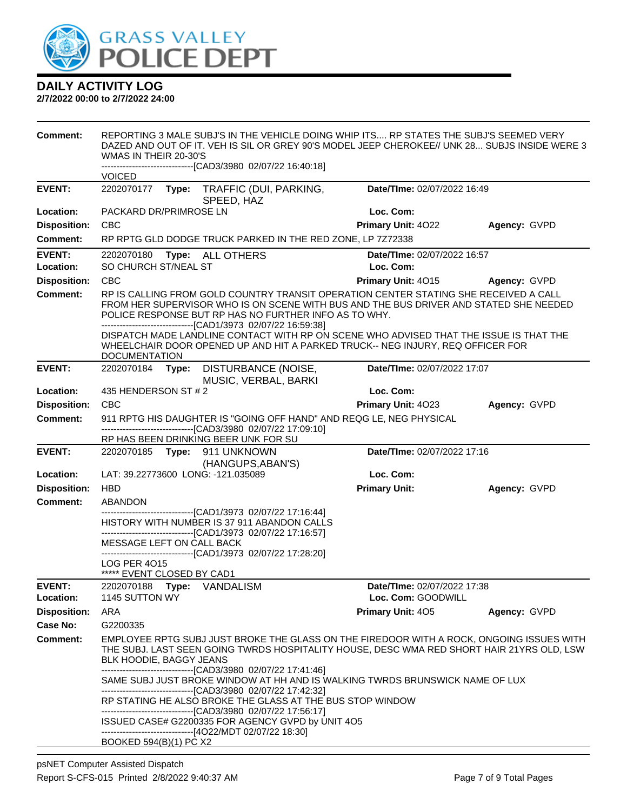

| <b>Comment:</b>            | WMAS IN THEIR 20-30'S              | REPORTING 3 MALE SUBJ'S IN THE VEHICLE DOING WHIP ITS RP STATES THE SUBJ'S SEEMED VERY<br>DAZED AND OUT OF IT. VEH IS SIL OR GREY 90'S MODEL JEEP CHEROKEE// UNK 28 SUBJS INSIDE WERE 3                                                                                                                                                                                                                                                                                            |                                          |              |
|----------------------------|------------------------------------|------------------------------------------------------------------------------------------------------------------------------------------------------------------------------------------------------------------------------------------------------------------------------------------------------------------------------------------------------------------------------------------------------------------------------------------------------------------------------------|------------------------------------------|--------------|
|                            | <b>VOICED</b>                      | -------------------------------[CAD3/3980_02/07/22 16:40:18]                                                                                                                                                                                                                                                                                                                                                                                                                       |                                          |              |
| <b>EVENT:</b>              | 2202070177                         | Type: TRAFFIC (DUI, PARKING,<br>SPEED, HAZ                                                                                                                                                                                                                                                                                                                                                                                                                                         | Date/TIme: 02/07/2022 16:49              |              |
| Location:                  | PACKARD DR/PRIMROSE LN             |                                                                                                                                                                                                                                                                                                                                                                                                                                                                                    | Loc. Com:                                |              |
| <b>Disposition:</b>        | <b>CBC</b>                         |                                                                                                                                                                                                                                                                                                                                                                                                                                                                                    | Primary Unit: 4022                       | Agency: GVPD |
| Comment:                   |                                    | RP RPTG GLD DODGE TRUCK PARKED IN THE RED ZONE, LP 7Z72338                                                                                                                                                                                                                                                                                                                                                                                                                         |                                          |              |
| <b>EVENT:</b><br>Location: | 2202070180<br>SO CHURCH ST/NEAL ST | Type: ALL OTHERS                                                                                                                                                                                                                                                                                                                                                                                                                                                                   | Date/TIme: 02/07/2022 16:57<br>Loc. Com: |              |
| <b>Disposition:</b>        | <b>CBC</b>                         |                                                                                                                                                                                                                                                                                                                                                                                                                                                                                    | Primary Unit: 4015                       | Agency: GVPD |
| <b>Comment:</b>            | <b>DOCUMENTATION</b>               | RP IS CALLING FROM GOLD COUNTRY TRANSIT OPERATION CENTER STATING SHE RECEIVED A CALL<br>FROM HER SUPERVISOR WHO IS ON SCENE WITH BUS AND THE BUS DRIVER AND STATED SHE NEEDED<br>POLICE RESPONSE BUT RP HAS NO FURTHER INFO AS TO WHY.<br>-------------------------------[CAD1/3973 02/07/22 16:59:38]<br>DISPATCH MADE LANDLINE CONTACT WITH RP ON SCENE WHO ADVISED THAT THE ISSUE IS THAT THE<br>WHEELCHAIR DOOR OPENED UP AND HIT A PARKED TRUCK-- NEG INJURY, REQ OFFICER FOR |                                          |              |
| <b>EVENT:</b>              | 2202070184 Type:                   | DISTURBANCE (NOISE,                                                                                                                                                                                                                                                                                                                                                                                                                                                                | Date/TIme: 02/07/2022 17:07              |              |
|                            |                                    | MUSIC, VERBAL, BARKI                                                                                                                                                                                                                                                                                                                                                                                                                                                               |                                          |              |
| Location:                  | 435 HENDERSON ST # 2               |                                                                                                                                                                                                                                                                                                                                                                                                                                                                                    | Loc. Com:                                |              |
| <b>Disposition:</b>        | <b>CBC</b>                         |                                                                                                                                                                                                                                                                                                                                                                                                                                                                                    | Primary Unit: 4023                       | Agency: GVPD |
| <b>Comment:</b>            |                                    | 911 RPTG HIS DAUGHTER IS "GOING OFF HAND" AND REQG LE, NEG PHYSICAL<br>-------------------------------[CAD3/3980 02/07/22 17:09:10]                                                                                                                                                                                                                                                                                                                                                |                                          |              |
|                            |                                    | RP HAS BEEN DRINKING BEER UNK FOR SU                                                                                                                                                                                                                                                                                                                                                                                                                                               |                                          |              |
| <b>EVENT:</b>              |                                    | 2202070185    Type: 911    UNKNOWN                                                                                                                                                                                                                                                                                                                                                                                                                                                 | Date/TIme: 02/07/2022 17:16              |              |
| Location:                  | LAT: 39.22773600 LONG: -121.035089 | (HANGUPS, ABAN'S)                                                                                                                                                                                                                                                                                                                                                                                                                                                                  | Loc. Com:                                |              |
| <b>Disposition:</b>        | <b>HBD</b>                         |                                                                                                                                                                                                                                                                                                                                                                                                                                                                                    | <b>Primary Unit:</b>                     | Agency: GVPD |
| <b>Comment:</b>            | ABANDON                            |                                                                                                                                                                                                                                                                                                                                                                                                                                                                                    |                                          |              |
|                            |                                    | -------------------[CAD1/3973 02/07/22 17:16:44]                                                                                                                                                                                                                                                                                                                                                                                                                                   |                                          |              |
|                            |                                    | HISTORY WITH NUMBER IS 37 911 ABANDON CALLS<br>-------------------------------[CAD1/3973 02/07/22 17:16:57]                                                                                                                                                                                                                                                                                                                                                                        |                                          |              |
|                            | MESSAGE LEFT ON CALL BACK          |                                                                                                                                                                                                                                                                                                                                                                                                                                                                                    |                                          |              |
|                            | LOG PER 4015                       | -------------[CAD1/3973 02/07/22 17:28:20]                                                                                                                                                                                                                                                                                                                                                                                                                                         |                                          |              |
|                            | ***** EVENT CLOSED BY CAD1         |                                                                                                                                                                                                                                                                                                                                                                                                                                                                                    |                                          |              |
| <b>EVENT:</b>              | 2202070188 Type: VANDALISM         |                                                                                                                                                                                                                                                                                                                                                                                                                                                                                    | Date/TIme: 02/07/2022 17:38              |              |
| Location:                  | 1145 SUTTON WY                     |                                                                                                                                                                                                                                                                                                                                                                                                                                                                                    | Loc. Com: GOODWILL                       |              |
| <b>Disposition:</b>        | ARA                                |                                                                                                                                                                                                                                                                                                                                                                                                                                                                                    | <b>Primary Unit: 405</b>                 | Agency: GVPD |
| Case No:                   | G2200335                           |                                                                                                                                                                                                                                                                                                                                                                                                                                                                                    |                                          |              |
| <b>Comment:</b>            | <b>BLK HOODIE, BAGGY JEANS</b>     | EMPLOYEE RPTG SUBJ JUST BROKE THE GLASS ON THE FIREDOOR WITH A ROCK, ONGOING ISSUES WITH<br>THE SUBJ. LAST SEEN GOING TWRDS HOSPITALITY HOUSE, DESC WMA RED SHORT HAIR 21YRS OLD, LSW<br>-------------------------------[CAD3/3980 02/07/22 17:41:46]                                                                                                                                                                                                                              |                                          |              |
|                            |                                    | SAME SUBJ JUST BROKE WINDOW AT HH AND IS WALKING TWRDS BRUNSWICK NAME OF LUX                                                                                                                                                                                                                                                                                                                                                                                                       |                                          |              |
|                            |                                    | -------------------------------[CAD3/3980_02/07/22_17:42:32]<br>RP STATING HE ALSO BROKE THE GLASS AT THE BUS STOP WINDOW                                                                                                                                                                                                                                                                                                                                                          |                                          |              |
|                            |                                    | -------------------------------[CAD3/3980 02/07/22 17:56:17]                                                                                                                                                                                                                                                                                                                                                                                                                       |                                          |              |
|                            |                                    | ISSUED CASE# G2200335 FOR AGENCY GVPD by UNIT 4O5                                                                                                                                                                                                                                                                                                                                                                                                                                  |                                          |              |
|                            | BOOKED 594(B)(1) PC X2             | -------------------------------[4O22/MDT 02/07/22 18:30]                                                                                                                                                                                                                                                                                                                                                                                                                           |                                          |              |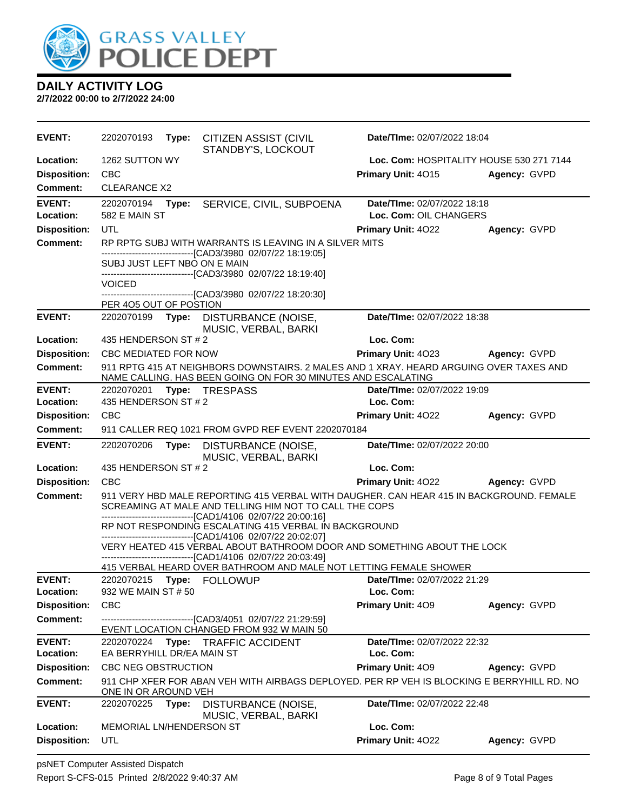

| <b>EVENT:</b>                    | 2202070193<br>Type:<br><b>CITIZEN ASSIST (CIVIL</b><br>STANDBY'S, LOCKOUT                                                                               | Date/TIme: 02/07/2022 18:04     |                                          |
|----------------------------------|---------------------------------------------------------------------------------------------------------------------------------------------------------|---------------------------------|------------------------------------------|
| Location:                        | 1262 SUTTON WY                                                                                                                                          |                                 | Loc. Com: HOSPITALITY HOUSE 530 271 7144 |
| <b>Disposition:</b>              | <b>CBC</b>                                                                                                                                              | Primary Unit: 4015              | Agency: GVPD                             |
| Comment:                         | <b>CLEARANCE X2</b>                                                                                                                                     |                                 |                                          |
| <b>EVENT:</b>                    | 2202070194<br>Type:<br>SERVICE, CIVIL, SUBPOENA                                                                                                         | Date/TIme: 02/07/2022 18:18     |                                          |
| Location:                        | 582 E MAIN ST                                                                                                                                           | Loc. Com: OIL CHANGERS          |                                          |
| <b>Disposition:</b>              | UTL                                                                                                                                                     | Primary Unit: 4022              | Agency: GVPD                             |
| <b>Comment:</b>                  | RP RPTG SUBJ WITH WARRANTS IS LEAVING IN A SILVER MITS                                                                                                  |                                 |                                          |
|                                  | -------------------------------[CAD3/3980_02/07/22_18:19:05]<br>SUBJ JUST LEFT NBO ON E MAIN                                                            |                                 |                                          |
|                                  | -------------------------------[CAD3/3980 02/07/22 18:19:40]                                                                                            |                                 |                                          |
|                                  | <b>VOICED</b><br>-----------------[CAD3/3980_02/07/22 18:20:30]                                                                                         |                                 |                                          |
|                                  | PER 405 OUT OF POSTION                                                                                                                                  |                                 |                                          |
| <b>EVENT:</b>                    | 2202070199<br>DISTURBANCE (NOISE,<br>Type:<br>MUSIC, VERBAL, BARKI                                                                                      | Date/TIme: 02/07/2022 18:38     |                                          |
| Location:                        | 435 HENDERSON ST # 2                                                                                                                                    | Loc. Com:                       |                                          |
| <b>Disposition:</b>              | CBC MEDIATED FOR NOW                                                                                                                                    | Primary Unit: 4023              | Agency: GVPD                             |
| <b>Comment:</b>                  | 911 RPTG 415 AT NEIGHBORS DOWNSTAIRS. 2 MALES AND 1 XRAY. HEARD ARGUING OVER TAXES AND<br>NAME CALLING. HAS BEEN GOING ON FOR 30 MINUTES AND ESCALATING |                                 |                                          |
| <b>EVENT:</b>                    | 2202070201<br>Type: TRESPASS                                                                                                                            | Date/TIme: 02/07/2022 19:09     |                                          |
| Location:                        | 435 HENDERSON ST # 2                                                                                                                                    | Loc. Com:                       |                                          |
| <b>Disposition:</b>              | <b>CBC</b>                                                                                                                                              | <b>Primary Unit: 4022</b>       | Agency: GVPD                             |
| <b>Comment:</b>                  | 911 CALLER REQ 1021 FROM GVPD REF EVENT 2202070184                                                                                                      |                                 |                                          |
| <b>EVENT:</b>                    | 2202070206<br>Type:<br>DISTURBANCE (NOISE,                                                                                                              | Date/TIme: 02/07/2022 20:00     |                                          |
|                                  | MUSIC, VERBAL, BARKI                                                                                                                                    |                                 |                                          |
| Location:                        | 435 HENDERSON ST # 2                                                                                                                                    | Loc. Com:                       |                                          |
| <b>Disposition:</b>              | <b>CBC</b>                                                                                                                                              | <b>Primary Unit: 4022</b>       | Agency: GVPD                             |
| <b>Comment:</b>                  | 911 VERY HBD MALE REPORTING 415 VERBAL WITH DAUGHER. CAN HEAR 415 IN BACKGROUND. FEMALE<br>SCREAMING AT MALE AND TELLING HIM NOT TO CALL THE COPS       |                                 |                                          |
|                                  | -------------------------------[CAD1/4106 02/07/22 20:00:16]<br>RP NOT RESPONDING ESCALATING 415 VERBAL IN BACKGROUND                                   |                                 |                                          |
|                                  | -------------------------------[CAD1/4106 02/07/22 20:02:07]<br>VERY HEATED 415 VERBAL ABOUT BATHROOM DOOR AND SOMETHING ABOUT THE LOCK                 |                                 |                                          |
|                                  | -------------------------------[CAD1/4106 02/07/22 20:03:49]<br>415 VERBAL HEARD OVER BATHROOM AND MALE NOT LETTING FEMALE SHOWER                       |                                 |                                          |
| <b>EVENT:</b>                    | 2202070215<br>Type: FOLLOWUP                                                                                                                            | Date/TIme: 02/07/2022 21:29     |                                          |
| Location:                        | 932 WE MAIN ST # 50                                                                                                                                     | Loc. Com:                       |                                          |
| <b>Disposition:</b>              | <b>CBC</b>                                                                                                                                              | Primary Unit: 409               | Agency: GVPD                             |
| <b>Comment:</b>                  | ------------------------[CAD3/4051_02/07/22 21:29:59]<br>EVENT LOCATION CHANGED FROM 932 W MAIN 50                                                      |                                 |                                          |
| <b>EVENT:</b>                    | 2202070224<br>Type: TRAFFIC ACCIDENT                                                                                                                    | Date/TIme: 02/07/2022 22:32     |                                          |
| Location:                        | EA BERRYHILL DR/EA MAIN ST                                                                                                                              | Loc. Com:                       |                                          |
| <b>Disposition:</b>              | CBC NEG OBSTRUCTION                                                                                                                                     | <b>Primary Unit: 409</b>        | Agency: GVPD                             |
| <b>Comment:</b>                  | 911 CHP XFER FOR ABAN VEH WITH AIRBAGS DEPLOYED. PER RP VEH IS BLOCKING E BERRYHILL RD. NO<br>ONE IN OR AROUND VEH                                      |                                 |                                          |
| <b>EVENT:</b>                    | 2202070225<br>Type:<br>DISTURBANCE (NOISE,<br>MUSIC, VERBAL, BARKI                                                                                      | Date/TIme: 02/07/2022 22:48     |                                          |
| Location:<br><b>Disposition:</b> | <b>MEMORIAL LN/HENDERSON ST</b><br>UTL                                                                                                                  | Loc. Com:<br>Primary Unit: 4022 | Agency: GVPD                             |